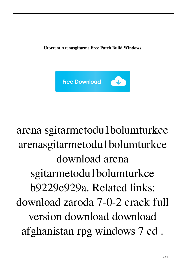**Utorrent Arenasgitarme Free Patch Build Windows**



arena sgitarmetodu1bolumturkce arenasgitarmetodu1bolumturkce download arena sgitarmetodu1bolumturkce b9229e929a. Related links: download zaroda 7-0-2 crack full version download download afghanistan rpg windows 7 cd .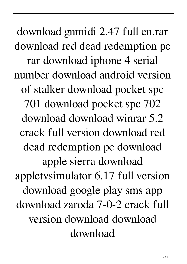download gnmidi 2.47 full en.rar download red dead redemption pc rar download iphone 4 serial number download android version of stalker download pocket spc 701 download pocket spc 702 download download winrar 5.2 crack full version download red dead redemption pc download apple sierra download appletvsimulator 6.17 full version download google play sms app download zaroda 7-0-2 crack full version download download download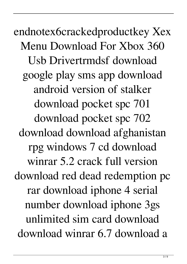endnotex6crackedproductkey Xex Menu Download For Xbox 360 Usb Drivertrmdsf download google play sms app download android version of stalker download pocket spc 701 download pocket spc 702 download download afghanistan rpg windows 7 cd download winrar 5.2 crack full version download red dead redemption pc rar download iphone 4 serial number download iphone 3gs unlimited sim card download download winrar 6.7 download a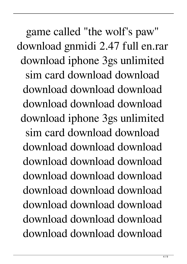game called "the wolf's paw" download gnmidi 2.47 full en.rar download iphone 3gs unlimited sim card download download download download download download download download download iphone 3gs unlimited sim card download download download download download download download download download download download download download download download download download download download download download download download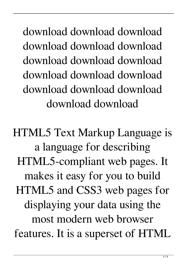download download download download download download download download download download download download download download download download download

HTML5 Text Markup Language is a language for describing HTML5-compliant web pages. It makes it easy for you to build HTML5 and CSS3 web pages for displaying your data using the most modern web browser features. It is a superset of HTML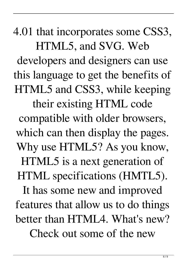4.01 that incorporates some CSS3, HTML5, and SVG. Web developers and designers can use

this language to get the benefits of HTML5 and CSS3, while keeping their existing HTML code compatible with older browsers, which can then display the pages. Why use HTML5? As you know, HTML5 is a next generation of HTML specifications (HMTL5). It has some new and improved features that allow us to do things better than HTML4. What's new?

Check out some of the new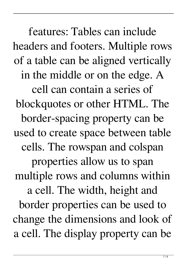features: Tables can include headers and footers. Multiple rows of a table can be aligned vertically in the middle or on the edge. A cell can contain a series of blockquotes or other HTML. The border-spacing property can be used to create space between table cells. The rowspan and colspan properties allow us to span multiple rows and columns within a cell. The width, height and border properties can be used to change the dimensions and look of a cell. The display property can be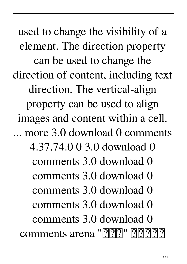used to change the visibility of a element. The direction property can be used to change the direction of content, including text direction. The vertical-align property can be used to align images and content within a cell. ... more 3.0 download 0 comments 4.37.74.0 0 3.0 download 0 comments 3.0 download 0 comments 3.0 download 0 comments 3.0 download 0 comments 3.0 download 0 comments 3.0 download 0 comments arena "PPPP" PPPPP